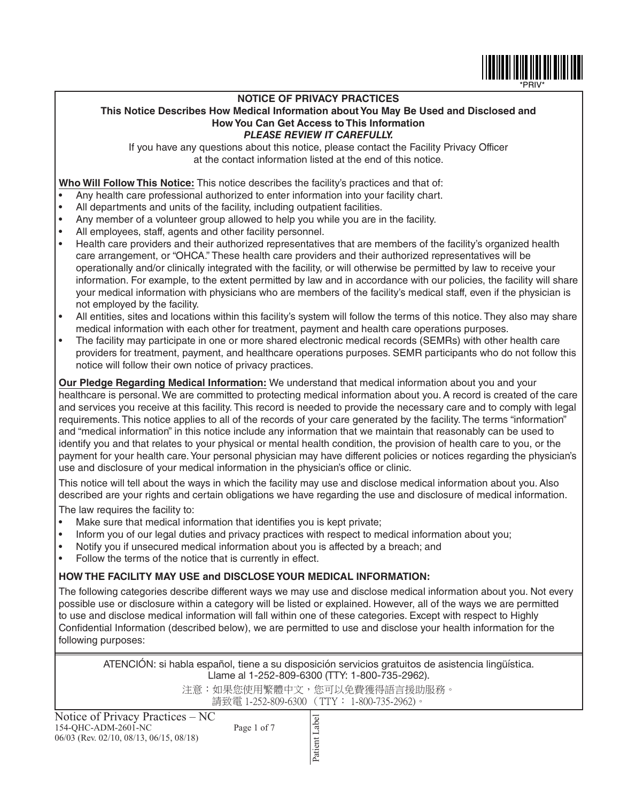

### **NOTICE OF PRIVACY PRACTICES This Notice Describes How Medical Information about You May Be Used and Disclosed and How You Can Get Access to This Information** *PLEASE REVIEW IT CAREFULLY.*

If you have any questions about this notice, please contact the Facility Privacy Officer at the contact information listed at the end of this notice.

**Who Will Follow This Notice:** This notice describes the facility's practices and that of:

- Any health care professional authorized to enter information into your facility chart.
- All departments and units of the facility, including outpatient facilities.
- Any member of a volunteer group allowed to help you while you are in the facility.
- All employees, staff, agents and other facility personnel.
- Health care providers and their authorized representatives that are members of the facility's organized health care arrangement, or "OHCA." These health care providers and their authorized representatives will be operationally and/or clinically integrated with the facility, or will otherwise be permitted by law to receive your information. For example, to the extent permitted by law and in accordance with our policies, the facility will share your medical information with physicians who are members of the facility's medical staff, even if the physician is not employed by the facility.
- All entities, sites and locations within this facility's system will follow the terms of this notice. They also may share medical information with each other for treatment, payment and health care operations purposes.
- The facility may participate in one or more shared electronic medical records (SEMRs) with other health care providers for treatment, payment, and healthcare operations purposes. SEMR participants who do not follow this notice will follow their own notice of privacy practices.

**Our Pledge Regarding Medical Information:** We understand that medical information about you and your healthcare is personal. We are committed to protecting medical information about you. A record is created of the care and services you receive at this facility. This record is needed to provide the necessary care and to comply with legal requirements. This notice applies to all of the records of your care generated by the facility. The terms "information" and "medical information" in this notice include any information that we maintain that reasonably can be used to identify you and that relates to your physical or mental health condition, the provision of health care to you, or the payment for your health care. Your personal physician may have different policies or notices regarding the physician's use and disclosure of your medical information in the physician's office or clinic.

This notice will tell about the ways in which the facility may use and disclose medical information about you. Also described are your rights and certain obligations we have regarding the use and disclosure of medical information.

The law requires the facility to:

- Make sure that medical information that identifies you is kept private;
- Inform you of our legal duties and privacy practices with respect to medical information about you;
- Notify you if unsecured medical information about you is affected by a breach; and
- Follow the terms of the notice that is currently in effect.

# **HOW THE FACILITY MAY USE and DISCLOSE YOUR MEDICAL INFORMATION:**

The following categories describe different ways we may use and disclose medical information about you. Not every possible use or disclosure within a category will be listed or explained. However, all of the ways we are permitted to use and disclose medical information will fall within one of these categories. Except with respect to Highly Confidential Information (described below), we are permitted to use and disclose your health information for the following purposes:

ATENCIÓN: si habla español, tiene a su disposición servicios gratuitos de asistencia lingüística. Llame al 1-252-809-6300 (TTY: 1-800-735-2962).

> 注意:如果您使用繁體中文,您可以免費獲得語言援助服務。 請致電 1-252-809-6300 (TTY: 1-800-735-2962)。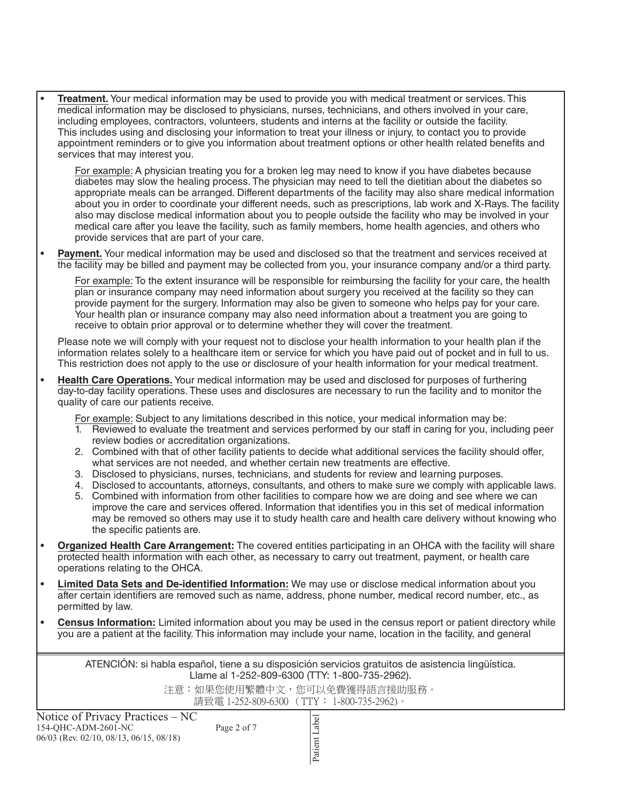• **Treatment.** Your medical information may be used to provide you with medical treatment or services. This medical information may be disclosed to physicians, nurses, technicians, and others involved in your care, including employees, contractors, volunteers, students and interns at the facility or outside the facility. This includes using and disclosing your information to treat your illness or injury, to contact you to provide appointment reminders or to give you information about treatment options or other health related benefits and services that may interest you.

For example: A physician treating you for a broken leg may need to know if you have diabetes because diabetes may slow the healing process. The physician may need to tell the dietitian about the diabetes so appropriate meals can be arranged. Different departments of the facility may also share medical information about you in order to coordinate your different needs, such as prescriptions, lab work and X-Rays. The facility also may disclose medical information about you to people outside the facility who may be involved in your medical care after you leave the facility, such as family members, home health agencies, and others who provide services that are part of your care.

• **Payment.** Your medical information may be used and disclosed so that the treatment and services received at the facility may be billed and payment may be collected from you, your insurance company and/or a third party.

For example: To the extent insurance will be responsible for reimbursing the facility for your care, the health plan or insurance company may need information about surgery you received at the facility so they can provide payment for the surgery. Information may also be given to someone who helps pay for your care. Your health plan or insurance company may also need information about a treatment you are going to receive to obtain prior approval or to determine whether they will cover the treatment.

Please note we will comply with your request not to disclose your health information to your health plan if the information relates solely to a healthcare item or service for which you have paid out of pocket and in full to us. This restriction does not apply to the use or disclosure of your health information for your medical treatment.

• **Health Care Operations.** Your medical information may be used and disclosed for purposes of furthering day-to-day facility operations. These uses and disclosures are necessary to run the facility and to monitor the quality of care our patients receive.

For example: Subject to any limitations described in this notice, your medical information may be:

- 1. Reviewed to evaluate the treatment and services performed by our staff in caring for you, including peer review bodies or accreditation organizations.
- 2. Combined with that of other facility patients to decide what additional services the facility should offer, what services are not needed, and whether certain new treatments are effective.
- 3. Disclosed to physicians, nurses, technicians, and students for review and learning purposes.
- 4. Disclosed to accountants, attorneys, consultants, and others to make sure we comply with applicable laws.
- 5. Combined with information from other facilities to compare how we are doing and see where we can improve the care and services offered. Information that identifies you in this set of medical information may be removed so others may use it to study health care and health care delivery without knowing who the specific patients are.
- **Organized Health Care Arrangement:** The covered entities participating in an OHCA with the facility will share protected health information with each other, as necessary to carry out treatment, payment, or health care operations relating to the OHCA.
- **Limited Data Sets and De-identified Information:** We may use or disclose medical information about you after certain identifiers are removed such as name, address, phone number, medical record number, etc., as permitted by law.
- **Census Information:** Limited information about you may be used in the census report or patient directory while you are a patient at the facility. This information may include your name, location in the facility, and general

ATENCIÓN: si habla español, tiene a su disposición servicios gratuitos de asistencia lingüística. Llame al 1-252-809-6300 (TTY: 1-800-735-2962).

> 注意:如果您使用繁體中文,您可以免費獲得語言援助服務。 請致電 1-252-809-6300 (TTY: 1-800-735-2962)。

Notice of Privacy Practices – NC 154-QHC-ADM-2601-NC Page 2 of 7 06/03 (Rev. 02/10, 08/13, 06/15, 08/18)

Patient Label Patient Label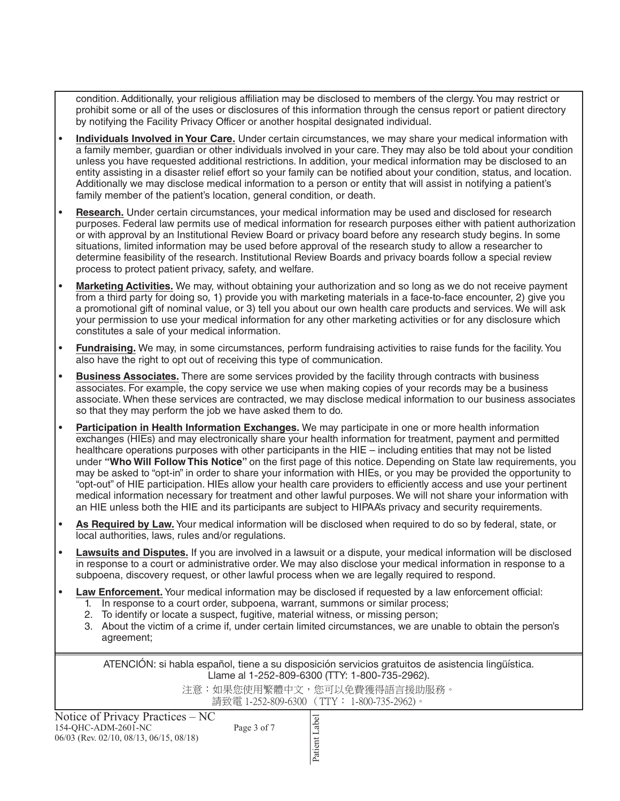condition. Additionally, your religious affiliation may be disclosed to members of the clergy. You may restrict or prohibit some or all of the uses or disclosures of this information through the census report or patient directory by notifying the Facility Privacy Officer or another hospital designated individual.

- **Individuals Involved in Your Care.** Under certain circumstances, we may share your medical information with a family member, guardian or other individuals involved in your care. They may also be told about your condition unless you have requested additional restrictions. In addition, your medical information may be disclosed to an entity assisting in a disaster relief effort so your family can be notified about your condition, status, and location. Additionally we may disclose medical information to a person or entity that will assist in notifying a patient's family member of the patient's location, general condition, or death.
- **Research.** Under certain circumstances, your medical information may be used and disclosed for research purposes. Federal law permits use of medical information for research purposes either with patient authorization or with approval by an Institutional Review Board or privacy board before any research study begins. In some situations, limited information may be used before approval of the research study to allow a researcher to determine feasibility of the research. Institutional Review Boards and privacy boards follow a special review process to protect patient privacy, safety, and welfare.
- **Marketing Activities.** We may, without obtaining your authorization and so long as we do not receive payment from a third party for doing so, 1) provide you with marketing materials in a face-to-face encounter, 2) give you a promotional gift of nominal value, or 3) tell you about our own health care products and services. We will ask your permission to use your medical information for any other marketing activities or for any disclosure which constitutes a sale of your medical information.
- **Fundraising.** We may, in some circumstances, perform fundraising activities to raise funds for the facility. You also have the right to opt out of receiving this type of communication.
- **Business Associates.** There are some services provided by the facility through contracts with business associates. For example, the copy service we use when making copies of your records may be a business associate. When these services are contracted, we may disclose medical information to our business associates so that they may perform the job we have asked them to do.
- **Participation in Health Information Exchanges.** We may participate in one or more health information exchanges (HIEs) and may electronically share your health information for treatment, payment and permitted healthcare operations purposes with other participants in the HIE – including entities that may not be listed under **"Who Will Follow This Notice"** on the first page of this notice. Depending on State law requirements, you may be asked to "opt-in" in order to share your information with HIEs, or you may be provided the opportunity to "opt-out" of HIE participation. HIEs allow your health care providers to efficiently access and use your pertinent medical information necessary for treatment and other lawful purposes. We will not share your information with an HIE unless both the HIE and its participants are subject to HIPAA's privacy and security requirements.
- **As Required by Law.** Your medical information will be disclosed when required to do so by federal, state, or local authorities, laws, rules and/or regulations.
- **Lawsuits and Disputes.** If you are involved in a lawsuit or a dispute, your medical information will be disclosed in response to a court or administrative order. We may also disclose your medical information in response to a subpoena, discovery request, or other lawful process when we are legally required to respond.
- **Law Enforcement.** Your medical information may be disclosed if requested by a law enforcement official:
	- 1. In response to a court order, subpoena, warrant, summons or similar process;
	- 2. To identify or locate a suspect, fugitive, material witness, or missing person;
	- 3. About the victim of a crime if, under certain limited circumstances, we are unable to obtain the person's agreement;

ATENCIÓN: si habla español, tiene a su disposición servicios gratuitos de asistencia lingüística. Llame al 1-252-809-6300 (TTY: 1-800-735-2962).

> 注意:如果您使用繁體中文,您可以免費獲得語言援助服務。 請致電 1-252-809-6300 (TTY: 1-800-735-2962)。

Notice of Privacy Practices – NC 154-QHC-ADM-2601-NC Page 3 of 7 06/03 (Rev. 02/10, 08/13, 06/15, 08/18)

Patient Label Patient Label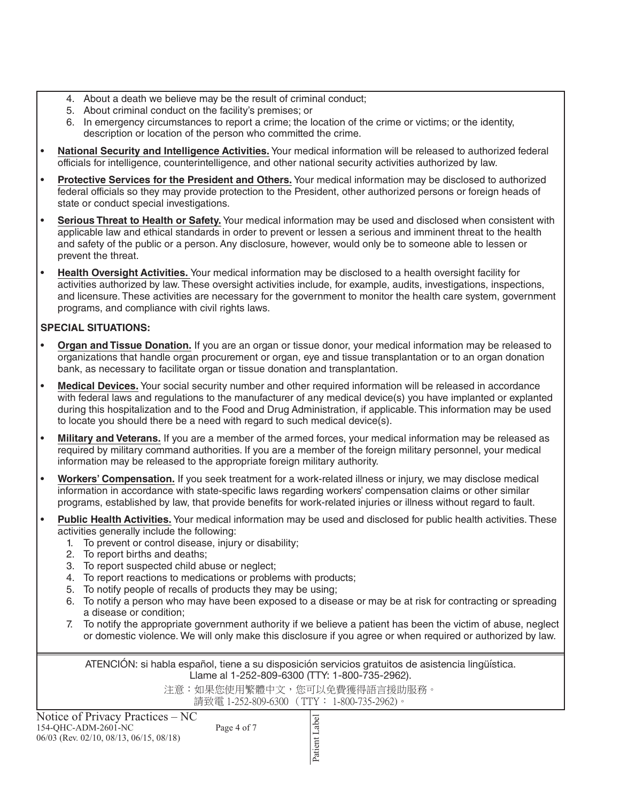- 4. About a death we believe may be the result of criminal conduct;
- 5. About criminal conduct on the facility's premises; or
- 6. In emergency circumstances to report a crime; the location of the crime or victims; or the identity, description or location of the person who committed the crime.
- **National Security and Intelligence Activities.** Your medical information will be released to authorized federal officials for intelligence, counterintelligence, and other national security activities authorized by law.
- **Protective Services for the President and Others.** Your medical information may be disclosed to authorized federal officials so they may provide protection to the President, other authorized persons or foreign heads of state or conduct special investigations.
- **Serious Threat to Health or Safety.** Your medical information may be used and disclosed when consistent with applicable law and ethical standards in order to prevent or lessen a serious and imminent threat to the health and safety of the public or a person. Any disclosure, however, would only be to someone able to lessen or prevent the threat.
- **Health Oversight Activities.** Your medical information may be disclosed to a health oversight facility for activities authorized by law. These oversight activities include, for example, audits, investigations, inspections, and licensure. These activities are necessary for the government to monitor the health care system, government programs, and compliance with civil rights laws.

# **SPECIAL SITUATIONS:**

- **Organ and Tissue Donation.** If you are an organ or tissue donor, your medical information may be released to organizations that handle organ procurement or organ, eye and tissue transplantation or to an organ donation bank, as necessary to facilitate organ or tissue donation and transplantation.
- **Medical Devices.** Your social security number and other required information will be released in accordance with federal laws and regulations to the manufacturer of any medical device(s) you have implanted or explanted during this hospitalization and to the Food and Drug Administration, if applicable. This information may be used to locate you should there be a need with regard to such medical device(s).
- **Military and Veterans.** If you are a member of the armed forces, your medical information may be released as required by military command authorities. If you are a member of the foreign military personnel, your medical information may be released to the appropriate foreign military authority.
- **Workers' Compensation.** If you seek treatment for a work-related illness or injury, we may disclose medical information in accordance with state-specific laws regarding workers' compensation claims or other similar programs, established by law, that provide benefits for work-related injuries or illness without regard to fault.
- **Public Health Activities.** Your medical information may be used and disclosed for public health activities. These activities generally include the following:
	- 1. To prevent or control disease, injury or disability;
	- 2. To report births and deaths;
	- 3. To report suspected child abuse or neglect;
	- 4. To report reactions to medications or problems with products;
	- 5. To notify people of recalls of products they may be using;
	- 6. To notify a person who may have been exposed to a disease or may be at risk for contracting or spreading a disease or condition;
	- 7. To notify the appropriate government authority if we believe a patient has been the victim of abuse, neglect or domestic violence. We will only make this disclosure if you agree or when required or authorized by law.

ATENCIÓN: si habla español, tiene a su disposición servicios gratuitos de asistencia lingüística. Llame al 1-252-809-6300 (TTY: 1-800-735-2962).

注意:如果您使用繁體中文,您可以免費獲得語言援助服務。

請致電 1-252-809-6300 (TTY: 1-800-735-2962)。

Patient Label

Patient Label

| Notice of Privacy Practices – NC          |             |
|-------------------------------------------|-------------|
| 154-OHC-ADM-2601-NC                       | Page 4 of 7 |
| $06/03$ (Rev. 02/10, 08/13, 06/15, 08/18) |             |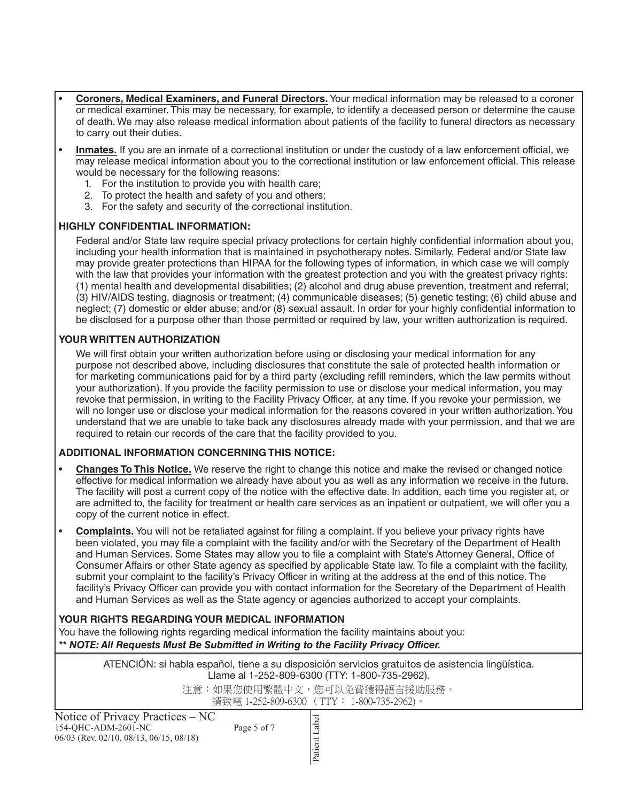- **Coroners, Medical Examiners, and Funeral Directors.** Your medical information may be released to a coroner or medical examiner. This may be necessary, for example, to identify a deceased person or determine the cause of death. We may also release medical information about patients of the facility to funeral directors as necessary to carry out their duties.
- **Inmates.** If you are an inmate of a correctional institution or under the custody of a law enforcement official, we may release medical information about you to the correctional institution or law enforcement official. This release would be necessary for the following reasons:
	- 1. For the institution to provide you with health care;
	- 2. To protect the health and safety of you and others;
	- 3. For the safety and security of the correctional institution.

## **HIGHLY CONFIDENTIAL INFORMATION:**

Federal and/or State law require special privacy protections for certain highly confidential information about you, including your health information that is maintained in psychotherapy notes. Similarly, Federal and/or State law may provide greater protections than HIPAA for the following types of information, in which case we will comply with the law that provides your information with the greatest protection and you with the greatest privacy rights: (1) mental health and developmental disabilities; (2) alcohol and drug abuse prevention, treatment and referral; (3) HIV/AIDS testing, diagnosis or treatment; (4) communicable diseases; (5) genetic testing; (6) child abuse and neglect; (7) domestic or elder abuse; and/or (8) sexual assault. In order for your highly confidential information to be disclosed for a purpose other than those permitted or required by law, your written authorization is required.

## **YOUR WRITTEN AUTHORIZATION**

We will first obtain your written authorization before using or disclosing your medical information for any purpose not described above, including disclosures that constitute the sale of protected health information or for marketing communications paid for by a third party (excluding refill reminders, which the law permits without your authorization). If you provide the facility permission to use or disclose your medical information, you may revoke that permission, in writing to the Facility Privacy Officer, at any time. If you revoke your permission, we will no longer use or disclose your medical information for the reasons covered in your written authorization. You understand that we are unable to take back any disclosures already made with your permission, and that we are required to retain our records of the care that the facility provided to you.

## **ADDITIONAL INFORMATION CONCERNING THIS NOTICE:**

- **Changes To This Notice.** We reserve the right to change this notice and make the revised or changed notice effective for medical information we already have about you as well as any information we receive in the future. The facility will post a current copy of the notice with the effective date. In addition, each time you register at, or are admitted to, the facility for treatment or health care services as an inpatient or outpatient, we will offer you a copy of the current notice in effect.
- **Complaints.** You will not be retaliated against for filing a complaint. If you believe your privacy rights have been violated, you may file a complaint with the facility and/or with the Secretary of the Department of Health and Human Services. Some States may allow you to file a complaint with State's Attorney General, Office of Consumer Affairs or other State agency as specified by applicable State law. To file a complaint with the facility, submit your complaint to the facility's Privacy Officer in writing at the address at the end of this notice. The facility's Privacy Officer can provide you with contact information for the Secretary of the Department of Health and Human Services as well as the State agency or agencies authorized to accept your complaints.

## **YOUR RIGHTS REGARDING YOUR MEDICAL INFORMATION**

You have the following rights regarding medical information the facility maintains about you: *\*\* NOTE: All Requests Must Be Submitted in Writing to the Facility Privacy Officer.*

> ATENCIÓN: si habla español, tiene a su disposición servicios gratuitos de asistencia lingüística. Llame al 1-252-809-6300 (TTY: 1-800-735-2962).

> > 注意:如果您使用繁體中文,您可以免費獲得語言援助服務。 請致電 1-252-809-6300 (TTY: 1-800-735-2962)。

Notice of Privacy Practices – NC 154-QHC-ADM-2601-NC Page 5 of 7 06/03 (Rev. 02/10, 08/13, 06/15, 08/18)

Patient Label Patient Label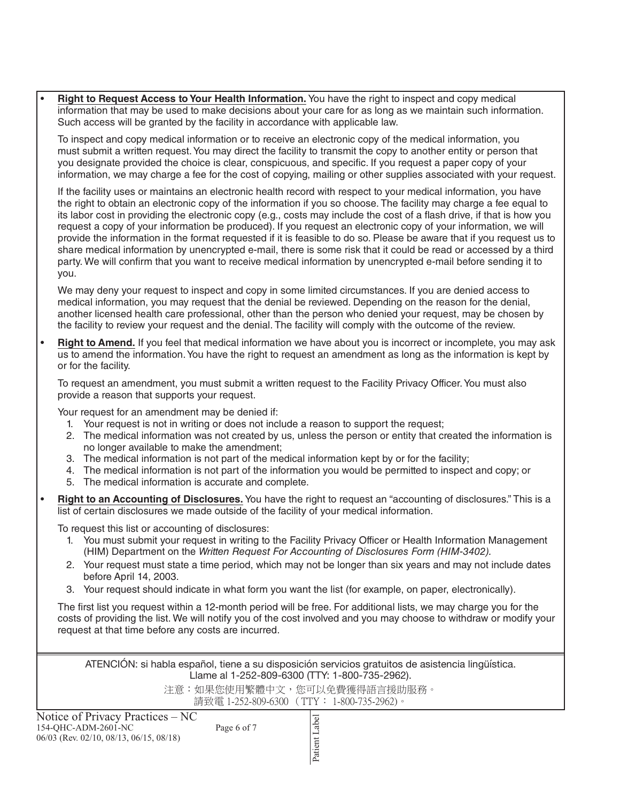• **Right to Request Access to Your Health Information.** You have the right to inspect and copy medical information that may be used to make decisions about your care for as long as we maintain such information. Such access will be granted by the facility in accordance with applicable law.

To inspect and copy medical information or to receive an electronic copy of the medical information, you must submit a written request. You may direct the facility to transmit the copy to another entity or person that you designate provided the choice is clear, conspicuous, and specific. If you request a paper copy of your information, we may charge a fee for the cost of copying, mailing or other supplies associated with your request.

If the facility uses or maintains an electronic health record with respect to your medical information, you have the right to obtain an electronic copy of the information if you so choose. The facility may charge a fee equal to its labor cost in providing the electronic copy (e.g., costs may include the cost of a flash drive, if that is how you request a copy of your information be produced). If you request an electronic copy of your information, we will provide the information in the format requested if it is feasible to do so. Please be aware that if you request us to share medical information by unencrypted e-mail, there is some risk that it could be read or accessed by a third party. We will confirm that you want to receive medical information by unencrypted e-mail before sending it to you.

We may deny your request to inspect and copy in some limited circumstances. If you are denied access to medical information, you may request that the denial be reviewed. Depending on the reason for the denial, another licensed health care professional, other than the person who denied your request, may be chosen by the facility to review your request and the denial. The facility will comply with the outcome of the review.

• **Right to Amend.** If you feel that medical information we have about you is incorrect or incomplete, you may ask us to amend the information. You have the right to request an amendment as long as the information is kept by or for the facility.

To request an amendment, you must submit a written request to the Facility Privacy Officer. You must also provide a reason that supports your request.

Your request for an amendment may be denied if:

- 1. Your request is not in writing or does not include a reason to support the request;
- 2. The medical information was not created by us, unless the person or entity that created the information is no longer available to make the amendment;
- 3. The medical information is not part of the medical information kept by or for the facility;
- 4. The medical information is not part of the information you would be permitted to inspect and copy; or
- 5. The medical information is accurate and complete.
- **Right to an Accounting of Disclosures.** You have the right to request an "accounting of disclosures." This is a list of certain disclosures we made outside of the facility of your medical information.

To request this list or accounting of disclosures:

- 1. You must submit your request in writing to the Facility Privacy Officer or Health Information Management (HIM) Department on the *Written Request For Accounting of Disclosures Form (HIM-3402).*
- 2. Your request must state a time period, which may not be longer than six years and may not include dates before April 14, 2003.
- 3. Your request should indicate in what form you want the list (for example, on paper, electronically).

The first list you request within a 12-month period will be free. For additional lists, we may charge you for the costs of providing the list. We will notify you of the cost involved and you may choose to withdraw or modify your request at that time before any costs are incurred.

ATENCIÓN: si habla español, tiene a su disposición servicios gratuitos de asistencia lingüística. Llame al 1-252-809-6300 (TTY: 1-800-735-2962).

注意:如果您使用繁體中文,您可以免費獲得語言援助服務。

請致電 1-252-809-6300 (TTY: 1-800-735-2962)。

| Notice of Privacy Practices – NC          |             |
|-------------------------------------------|-------------|
| 154-OHC-ADM-2601-NC                       | Page 6 of 7 |
| $06/03$ (Rev. 02/10, 08/13, 06/15, 08/18) |             |